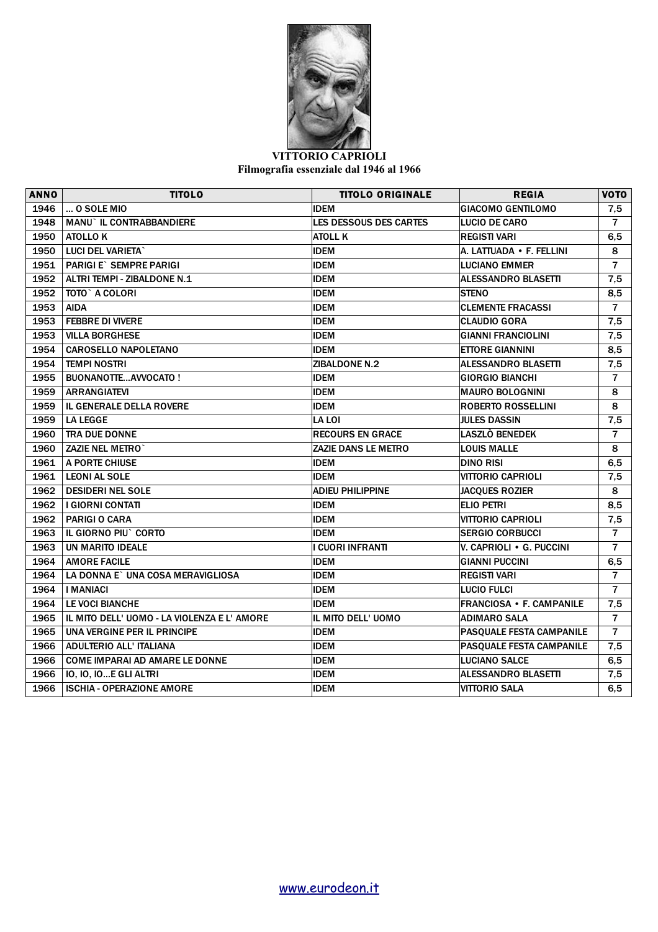

## **VITTORIO CAPRIOLI Filmografia essenziale dal 1946 al 1966**

| <b>ANNO</b> | <b>TITOLO</b>                               | <b>TITOLO ORIGINALE</b>    | <b>REGIA</b>               | <b>VOTO</b>    |
|-------------|---------------------------------------------|----------------------------|----------------------------|----------------|
| 1946        | $$ O SOLE MIO                               | <b>IDEM</b>                | <b>GIACOMO GENTILOMO</b>   | 7,5            |
| 1948        | <b>MANU` IL CONTRABBANDIERE</b>             | LES DESSOUS DES CARTES     | <b>LUCIO DE CARO</b>       | $\overline{7}$ |
| 1950        | <b>ATOLLO K</b>                             | ATOLL K                    | <b>REGISTI VARI</b>        | 6,5            |
| 1950        | LUCI DEL VARIETA`                           | <b>IDEM</b>                | A. LATTUADA • F. FELLINI   | 8              |
| 1951        | PARIGI E` SEMPRE PARIGI                     | <b>IDEM</b>                | <b>LUCIANO EMMER</b>       | $\overline{7}$ |
| 1952        | ALTRI TEMPI - ZIBALDONE N.1                 | <b>IDEM</b>                | <b>ALESSANDRO BLASETTI</b> | 7,5            |
| 1952        | TOTO` A COLORI                              | <b>IDEM</b>                | <b>STENO</b>               | 8,5            |
| 1953        | <b>AIDA</b>                                 | <b>IDEM</b>                | <b>CLEMENTE FRACASSI</b>   | $\overline{7}$ |
| 1953        | <b>FEBBRE DI VIVERE</b>                     | <b>IDEM</b>                | <b>CLAUDIO GORA</b>        | 7,5            |
| 1953        | <b>VILLA BORGHESE</b>                       | <b>IDEM</b>                | <b>GIANNI FRANCIOLINI</b>  | 7,5            |
| 1954        | <b>CAROSELLO NAPOLETANO</b>                 | <b>IDEM</b>                | <b>ETTORE GIANNINI</b>     | 8,5            |
| 1954        | <b>TEMPI NOSTRI</b>                         | ZIBALDONE N.2              | <b>ALESSANDRO BLASETTI</b> | 7,5            |
| 1955        | <b>BUONANOTTEAVVOCATO!</b>                  | <b>IDEM</b>                | <b>GIORGIO BIANCHI</b>     | $\overline{7}$ |
| 1959        | <b>ARRANGIATEVI</b>                         | IDEM                       | <b>MAURO BOLOGNINI</b>     | 8              |
| 1959        | <b>IL GENERALE DELLA ROVERE</b>             | IDEM                       | <b>ROBERTO ROSSELLINI</b>  | 8              |
| 1959        | <b>LA LEGGE</b>                             | LA LOI                     | <b>JULES DASSIN</b>        | 7,5            |
| 1960        | <b>TRA DUE DONNE</b>                        | <b>RECOURS EN GRACE</b>    | LASZLÒ BENEDEK             | $\overline{7}$ |
| 1960        | <b>ZAZIE NEL METRO</b>                      | <b>ZAZIE DANS LE METRO</b> | <b>LOUIS MALLE</b>         | 8              |
| 1961        | A PORTE CHIUSE                              | <b>IDEM</b>                | <b>DINO RISI</b>           | 6,5            |
| 1961        | <b>LEONI AL SOLE</b>                        | <b>IDEM</b>                | <b>VITTORIO CAPRIOLI</b>   | 7,5            |
| 1962        | <b>DESIDERI NEL SOLE</b>                    | <b>ADIEU PHILIPPINE</b>    | <b>JACQUES ROZIER</b>      | 8              |
| 1962        | <b>I GIORNI CONTATI</b>                     | <b>IDEM</b>                | <b>ELIO PETRI</b>          | 8,5            |
| 1962        | <b>PARIGIO CARA</b>                         | <b>IDEM</b>                | <b>VITTORIO CAPRIOLI</b>   | 7,5            |
| 1963        | IL GIORNO PIU` CORTO                        | <b>IDEM</b>                | <b>SERGIO CORBUCCI</b>     | $\overline{7}$ |
| 1963        | UN MARITO IDEALE                            | I CUORI INFRANTI           | V. CAPRIOLI • G. PUCCINI   | $\overline{7}$ |
| 1964        | <b>AMORE FACILE</b>                         | <b>IDEM</b>                | <b>GIANNI PUCCINI</b>      | 6,5            |
| 1964        | LA DONNA E` UNA COSA MERAVIGLIOSA           | <b>IDEM</b>                | <b>REGISTI VARI</b>        | $\overline{7}$ |
| 1964        | <b>I MANIACI</b>                            | <b>IDEM</b>                | <b>LUCIO FULCI</b>         | $\overline{7}$ |
| 1964        | <b>LE VOCI BIANCHE</b>                      | <b>IDEM</b>                | FRANCIOSA • F. CAMPANILE   | 7,5            |
| 1965        | IL MITO DELL' UOMO - LA VIOLENZA E L' AMORE | IL MITO DELL' UOMO         | <b>ADIMARO SALA</b>        | $\overline{7}$ |
| 1965        | UNA VERGINE PER IL PRINCIPE                 | <b>IDEM</b>                | PASQUALE FESTA CAMPANILE   | $\overline{7}$ |
| 1966        | <b>ADULTERIO ALL' ITALIANA</b>              | <b>IDEM</b>                | PASQUALE FESTA CAMPANILE   | 7,5            |
| 1966        | <b>COME IMPARAI AD AMARE LE DONNE</b>       | <b>IDEM</b>                | <b>LUCIANO SALCE</b>       | 6,5            |
| 1966        | IO, IO, IOE GLI ALTRI                       | <b>IDEM</b>                | <b>ALESSANDRO BLASETTI</b> | 7,5            |
| 1966        | <b>ISCHIA - OPERAZIONE AMORE</b>            | <b>IDEM</b>                | <b>VITTORIO SALA</b>       | 6,5            |
|             |                                             |                            |                            |                |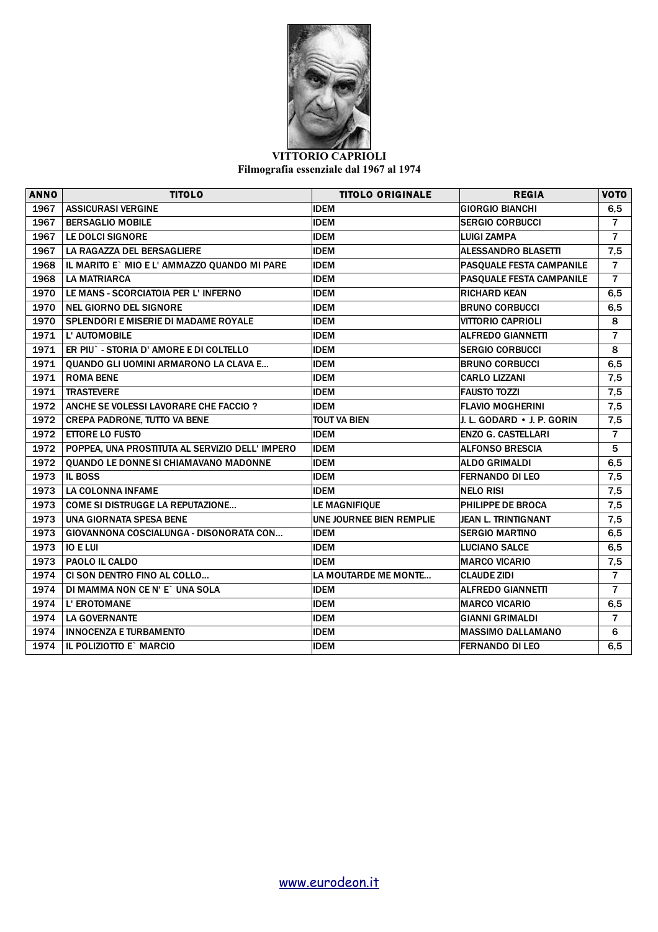

## **VITTORIO CAPRIOLI Filmografia essenziale dal 1967 al 1974**

| <b>ANNO</b> | <b>TITOLO</b>                                   | <b>TITOLO ORIGINALE</b>         | <b>REGIA</b>               | <b>VOTO</b>    |
|-------------|-------------------------------------------------|---------------------------------|----------------------------|----------------|
| 1967        | <b>ASSICURASI VERGINE</b>                       | <b>IDEM</b>                     | <b>GIORGIO BIANCHI</b>     | 6,5            |
| 1967        | <b>BERSAGLIO MOBILE</b>                         | <b>IDEM</b>                     | <b>SERGIO CORBUCCI</b>     | $\overline{7}$ |
| 1967        | <b>LE DOLCI SIGNORE</b>                         | <b>IDEM</b>                     | <b>LUIGI ZAMPA</b>         | $\overline{7}$ |
| 1967        | LA RAGAZZA DEL BERSAGLIERE                      | <b>IDEM</b>                     | <b>ALESSANDRO BLASETTI</b> | 7,5            |
| 1968        | IL MARITO E` MIO E L' AMMAZZO QUANDO MI PARE    | <b>IDEM</b>                     | PASQUALE FESTA CAMPANILE   | $\overline{7}$ |
| 1968        | <b>LA MATRIARCA</b>                             | <b>IDEM</b>                     | PASQUALE FESTA CAMPANILE   | $\overline{7}$ |
| 1970        | LE MANS - SCORCIATOIA PER L'INFERNO             | <b>IDEM</b>                     | <b>RICHARD KEAN</b>        | 6,5            |
| 1970        | <b>NEL GIORNO DEL SIGNORE</b>                   | <b>IDEM</b>                     | <b>BRUNO CORBUCCI</b>      | 6,5            |
| 1970        | <b>SPLENDORI E MISERIE DI MADAME ROYALE</b>     | <b>IDEM</b>                     | <b>VITTORIO CAPRIOLI</b>   | 8              |
| 1971        | L' AUTOMOBILE                                   | <b>IDEM</b>                     | <b>ALFREDO GIANNETTI</b>   | $\overline{7}$ |
| 1971        | ER PIU` - STORIA D' AMORE E DI COLTELLO         | <b>IDEM</b>                     | <b>SERGIO CORBUCCI</b>     | 8              |
| 1971        | QUANDO GLI UOMINI ARMARONO LA CLAVA E           | <b>IDEM</b>                     | <b>BRUNO CORBUCCI</b>      | 6,5            |
| 1971        | <b>ROMA BENE</b>                                | <b>IDEM</b>                     | <b>CARLO LIZZANI</b>       | 7,5            |
| 1971        | <b>TRASTEVERE</b>                               | <b>IDEM</b>                     | <b>FAUSTO TOZZI</b>        | 7,5            |
| 1972        | ANCHE SE VOLESSI LAVORARE CHE FACCIO ?          | <b>IDEM</b>                     | <b>FLAVIO MOGHERINI</b>    | 7,5            |
| 1972        | <b>CREPA PADRONE, TUTTO VA BENE</b>             | <b>TOUT VA BIEN</b>             | J. L. GODARD • J. P. GORIN | 7,5            |
| 1972        | <b>ETTORE LO FUSTO</b>                          | <b>IDEM</b>                     | <b>ENZO G. CASTELLARI</b>  | $\overline{7}$ |
| 1972        | POPPEA, UNA PROSTITUTA AL SERVIZIO DELL' IMPERO | <b>IDEM</b>                     | <b>ALFONSO BRESCIA</b>     | 5              |
| 1972        | QUANDO LE DONNE SI CHIAMAVANO MADONNE           | <b>IDEM</b>                     | <b>ALDO GRIMALDI</b>       | 6,5            |
| 1973        | <b>IL BOSS</b>                                  | <b>IDEM</b>                     | <b>FERNANDO DI LEO</b>     | 7,5            |
| 1973        | <b>LA COLONNA INFAME</b>                        | <b>IDEM</b>                     | <b>NELO RISI</b>           | 7,5            |
| 1973        | <b>COME SI DISTRUGGE LA REPUTAZIONE</b>         | LE MAGNIFIQUE                   | <b>PHILIPPE DE BROCA</b>   | 7,5            |
| 1973        | <b>UNA GIORNATA SPESA BENE</b>                  | <b>UNE JOURNEE BIEN REMPLIE</b> | <b>JEAN L. TRINTIGNANT</b> | 7,5            |
| 1973        | GIOVANNONA COSCIALUNGA - DISONORATA CON         | <b>IDEM</b>                     | <b>SERGIO MARTINO</b>      | 6, 5           |
| 1973        | <b>IO E LUI</b>                                 | <b>IDEM</b>                     | <b>LUCIANO SALCE</b>       | 6, 5           |
| 1973        | PAOLO IL CALDO                                  | <b>IDEM</b>                     | <b>MARCO VICARIO</b>       | 7,5            |
| 1974        | CI SON DENTRO FINO AL COLLO                     | LA MOUTARDE ME MONTE            | <b>CLAUDE ZIDI</b>         | $\overline{7}$ |
| 1974        | DI MAMMA NON CE N' E` UNA SOLA                  | <b>IDEM</b>                     | <b>ALFREDO GIANNETTI</b>   | $\overline{7}$ |
| 1974        | L' EROTOMANE                                    | <b>IDEM</b>                     | <b>MARCO VICARIO</b>       | 6,5            |
| 1974        | <b>LA GOVERNANTE</b>                            | <b>IDEM</b>                     | <b>GIANNI GRIMALDI</b>     | $\overline{7}$ |
| 1974        | <b>INNOCENZA E TURBAMENTO</b>                   | <b>IDEM</b>                     | <b>MASSIMO DALLAMANO</b>   | 6              |
| 1974        | IL POLIZIOTTO E` MARCIO                         | <b>IDEM</b>                     | <b>FERNANDO DI LEO</b>     | 6,5            |